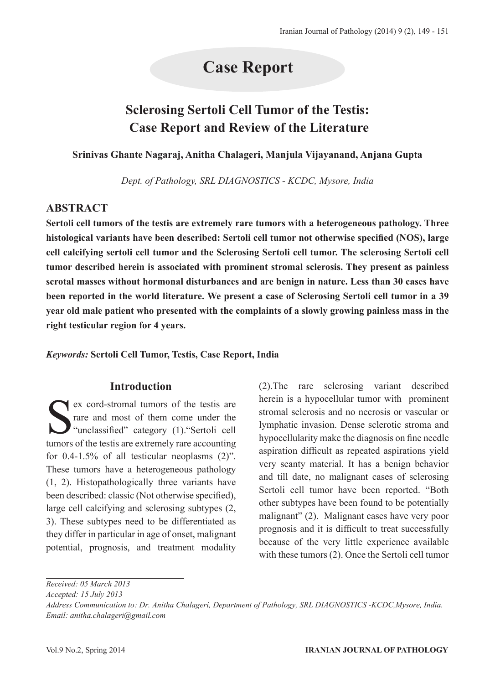# **Case Report**

# **Sclerosing Sertoli Cell Tumor of the Testis: Case Report and Review of the Literature**

**Srinivas Ghante Nagaraj, Anitha Chalageri, Manjula Vijayanand, Anjana Gupta**

*Dept. of Pathology, SRL DIAGNOSTICS - KCDC, Mysore, India*

## **ABSTRACT**

**Sertoli cell tumors of the testis are extremely rare tumors with a heterogeneous pathology. Three histological variants have been described: Sertoli cell tumor not otherwise specified (NOS), large cell calcifying sertoli cell tumor and the Sclerosing Sertoli cell tumor. The sclerosing Sertoli cell tumor described herein is associated with prominent stromal sclerosis. They present as painless scrotal masses without hormonal disturbances and are benign in nature. Less than 30 cases have been reported in the world literature. We present a case of Sclerosing Sertoli cell tumor in a 39 year old male patient who presented with the complaints of a slowly growing painless mass in the right testicular region for 4 years.**

*Keywords:* **Sertoli Cell Tumor, Testis, Case Report, India**

#### **Introduction**

Ex cord-stromal tumors of the testis are<br>rare and most of them come under the<br>"unclassified" category (1). "Sertoli cell<br>tumors of the testis are extremely rare accounting rare and most of them come under the "unclassified" category (1)."Sertoli cell tumors of the testis are extremely rare accounting for 0.4-1.5% of all testicular neoplasms (2)". These tumors have a heterogeneous pathology (1, 2). Histopathologically three variants have been described: classic (Not otherwise specified), large cell calcifying and sclerosing subtypes (2, 3). These subtypes need to be differentiated as they differ in particular in age of onset, malignant potential, prognosis, and treatment modality

(2).The rare sclerosing variant described herein is a hypocellular tumor with prominent stromal sclerosis and no necrosis or vascular or lymphatic invasion. Dense sclerotic stroma and hypocellularity make the diagnosis on fine needle aspiration difficult as repeated aspirations yield very scanty material. It has a benign behavior and till date, no malignant cases of sclerosing Sertoli cell tumor have been reported. "Both other subtypes have been found to be potentially malignant" (2). Malignant cases have very poor prognosis and it is difficult to treat successfully because of the very little experience available with these tumors (2). Once the Sertoli cell tumor

*Received: 05 March 2013*

*Accepted: 15 July 2013*

*Address Communication to: Dr. Anitha Chalageri, Department of Pathology, SRL DIAGNOSTICS -KCDC,Mysore, India. Email: anitha.chalageri@gmail.com*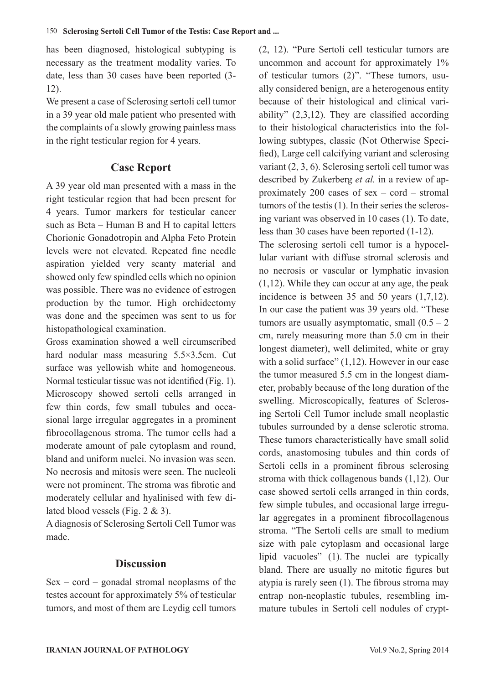has been diagnosed, histological subtyping is necessary as the treatment modality varies. To date, less than 30 cases have been reported (3- 12).

We present a case of Sclerosing sertoli cell tumor in a 39 year old male patient who presented with the complaints of a slowly growing painless mass in the right testicular region for 4 years.

#### **Case Report**

A 39 year old man presented with a mass in the right testicular region that had been present for 4 years. Tumor markers for testicular cancer such as Beta – Human B and H to capital letters Chorionic Gonadotropin and Alpha Feto Protein levels were not elevated. Repeated fine needle aspiration yielded very scanty material and showed only few spindled cells which no opinion was possible. There was no evidence of estrogen production by the tumor. High orchidectomy was done and the specimen was sent to us for histopathological examination.

Gross examination showed a well circumscribed hard nodular mass measuring 5.5×3.5cm. Cut surface was yellowish white and homogeneous. Normal testicular tissue was not identified (Fig. 1). Microscopy showed sertoli cells arranged in few thin cords, few small tubules and occasional large irregular aggregates in a prominent fibrocollagenous stroma. The tumor cells had a moderate amount of pale cytoplasm and round, bland and uniform nuclei. No invasion was seen. No necrosis and mitosis were seen. The nucleoli were not prominent. The stroma was fibrotic and moderately cellular and hyalinised with few dilated blood vessels (Fig. 2 & 3).

A diagnosis of Sclerosing Sertoli Cell Tumor was made.

### **Discussion**

Sex – cord – gonadal stromal neoplasms of the testes account for approximately 5% of testicular tumors, and most of them are Leydig cell tumors (2, 12). "Pure Sertoli cell testicular tumors are uncommon and account for approximately 1% of testicular tumors (2)". "These tumors, usually considered benign, are a heterogenous entity because of their histological and clinical variability"  $(2,3,12)$ . They are classified according to their histological characteristics into the following subtypes, classic (Not Otherwise Specified), Large cell calcifying variant and sclerosing variant (2, 3, 6). Sclerosing sertoli cell tumor was described by Zukerberg *et al.* in a review of approximately 200 cases of sex – cord – stromal tumors of the testis (1). In their series the sclerosing variant was observed in 10 cases (1). To date, less than 30 cases have been reported (1-12).

The sclerosing sertoli cell tumor is a hypocellular variant with diffuse stromal sclerosis and no necrosis or vascular or lymphatic invasion (1,12). While they can occur at any age, the peak incidence is between 35 and 50 years (1,7,12). In our case the patient was 39 years old. "These tumors are usually asymptomatic, small  $(0.5 - 2)$ cm, rarely measuring more than 5.0 cm in their longest diameter), well delimited, white or gray with a solid surface" (1,12). However in our case the tumor measured 5.5 cm in the longest diameter, probably because of the long duration of the swelling. Microscopically, features of Sclerosing Sertoli Cell Tumor include small neoplastic tubules surrounded by a dense sclerotic stroma. These tumors characteristically have small solid cords, anastomosing tubules and thin cords of Sertoli cells in a prominent fibrous sclerosing stroma with thick collagenous bands (1,12). Our case showed sertoli cells arranged in thin cords, few simple tubules, and occasional large irregular aggregates in a prominent fibrocollagenous stroma. "The Sertoli cells are small to medium size with pale cytoplasm and occasional large lipid vacuoles" (1). The nuclei are typically bland. There are usually no mitotic figures but atypia is rarely seen (1). The fibrous stroma may entrap non-neoplastic tubules, resembling immature tubules in Sertoli cell nodules of crypt